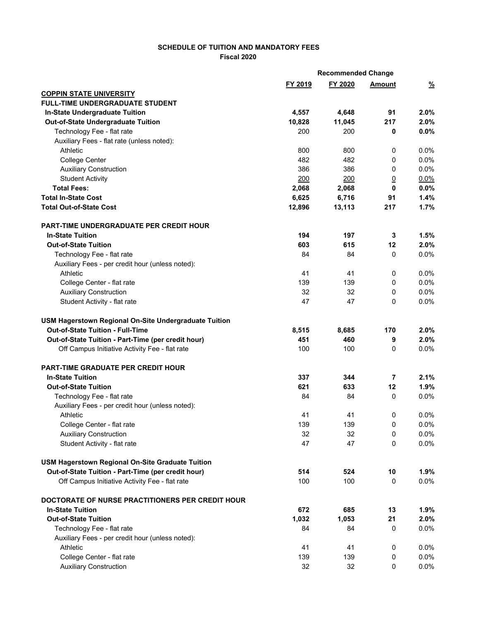## **SCHEDULE OF TUITION AND MANDATORY FEES Fiscal 2020**

|                                                       | <b>Recommended Change</b> |         |                |               |
|-------------------------------------------------------|---------------------------|---------|----------------|---------------|
|                                                       | FY 2019                   | FY 2020 | <b>Amount</b>  | $\frac{9}{6}$ |
| <b>COPPIN STATE UNIVERSITY</b>                        |                           |         |                |               |
| <b>FULL-TIME UNDERGRADUATE STUDENT</b>                |                           |         |                |               |
| In-State Undergraduate Tuition                        | 4,557                     | 4,648   | 91             | 2.0%          |
| Out-of-State Undergraduate Tuition                    | 10,828                    | 11,045  | 217            | 2.0%          |
| Technology Fee - flat rate                            | 200                       | 200     | 0              | 0.0%          |
| Auxiliary Fees - flat rate (unless noted):            |                           |         |                |               |
| Athletic                                              | 800                       | 800     | 0              | 0.0%          |
| <b>College Center</b>                                 | 482                       | 482     | 0              | 0.0%          |
| <b>Auxiliary Construction</b>                         | 386                       | 386     | 0              | 0.0%          |
| <b>Student Activity</b>                               | 200                       | 200     | $\overline{0}$ | 0.0%          |
| <b>Total Fees:</b>                                    | 2,068                     | 2,068   | 0              | 0.0%          |
| <b>Total In-State Cost</b>                            | 6,625                     | 6,716   | 91             | 1.4%          |
| <b>Total Out-of-State Cost</b>                        | 12,896                    | 13,113  | 217            | 1.7%          |
| <b>PART-TIME UNDERGRADUATE PER CREDIT HOUR</b>        |                           |         |                |               |
| <b>In-State Tuition</b>                               | 194                       | 197     | 3              | 1.5%          |
| <b>Out-of-State Tuition</b>                           | 603                       | 615     | 12             | 2.0%          |
| Technology Fee - flat rate                            | 84                        | 84      | $\mathbf 0$    | 0.0%          |
| Auxiliary Fees - per credit hour (unless noted):      |                           |         |                |               |
| Athletic                                              | 41                        | 41      | 0              | 0.0%          |
| College Center - flat rate                            | 139                       | 139     | 0              | 0.0%          |
| <b>Auxiliary Construction</b>                         | 32                        | 32      | 0              | 0.0%          |
| Student Activity - flat rate                          | 47                        | 47      | 0              | 0.0%          |
|                                                       |                           |         |                |               |
| USM Hagerstown Regional On-Site Undergraduate Tuition |                           |         |                |               |
| Out-of-State Tuition - Full-Time                      | 8,515                     | 8,685   | 170            | 2.0%          |
| Out-of-State Tuition - Part-Time (per credit hour)    | 451                       | 460     | 9              | 2.0%          |
| Off Campus Initiative Activity Fee - flat rate        | 100                       | 100     | 0              | 0.0%          |
| <b>PART-TIME GRADUATE PER CREDIT HOUR</b>             |                           |         |                |               |
| <b>In-State Tuition</b>                               | 337                       | 344     | 7              | 2.1%          |
| <b>Out-of-State Tuition</b>                           | 621                       | 633     | 12             | 1.9%          |
| Technology Fee - flat rate                            | 84                        | 84      | $\mathbf 0$    | 0.0%          |
| Auxiliary Fees - per credit hour (unless noted):      |                           |         |                |               |
| Athletic                                              | 41                        | 41      | 0              | 0.0%          |
| College Center - flat rate                            | 139                       | 139     | 0              | $0.0\%$       |
| <b>Auxiliary Construction</b>                         | 32                        | 32      | 0              | 0.0%          |
| Student Activity - flat rate                          | 47                        | 47      | 0              | 0.0%          |
| USM Hagerstown Regional On-Site Graduate Tuition      |                           |         |                |               |
| Out-of-State Tuition - Part-Time (per credit hour)    | 514                       | 524     | 10             | 1.9%          |
| Off Campus Initiative Activity Fee - flat rate        | 100                       | 100     | 0              | 0.0%          |
|                                                       |                           |         |                |               |
| DOCTORATE OF NURSE PRACTITIONERS PER CREDIT HOUR      |                           |         |                |               |
| <b>In-State Tuition</b>                               | 672                       | 685     | 13             | 1.9%          |
| <b>Out-of-State Tuition</b>                           | 1,032                     | 1,053   | 21             | 2.0%          |
| Technology Fee - flat rate                            | 84                        | 84      | 0              | 0.0%          |
| Auxiliary Fees - per credit hour (unless noted):      |                           |         |                |               |
| Athletic                                              | 41                        | 41      | 0              | 0.0%          |
| College Center - flat rate                            | 139                       | 139     | 0              | 0.0%          |
| <b>Auxiliary Construction</b>                         | 32                        | 32      | 0              | 0.0%          |